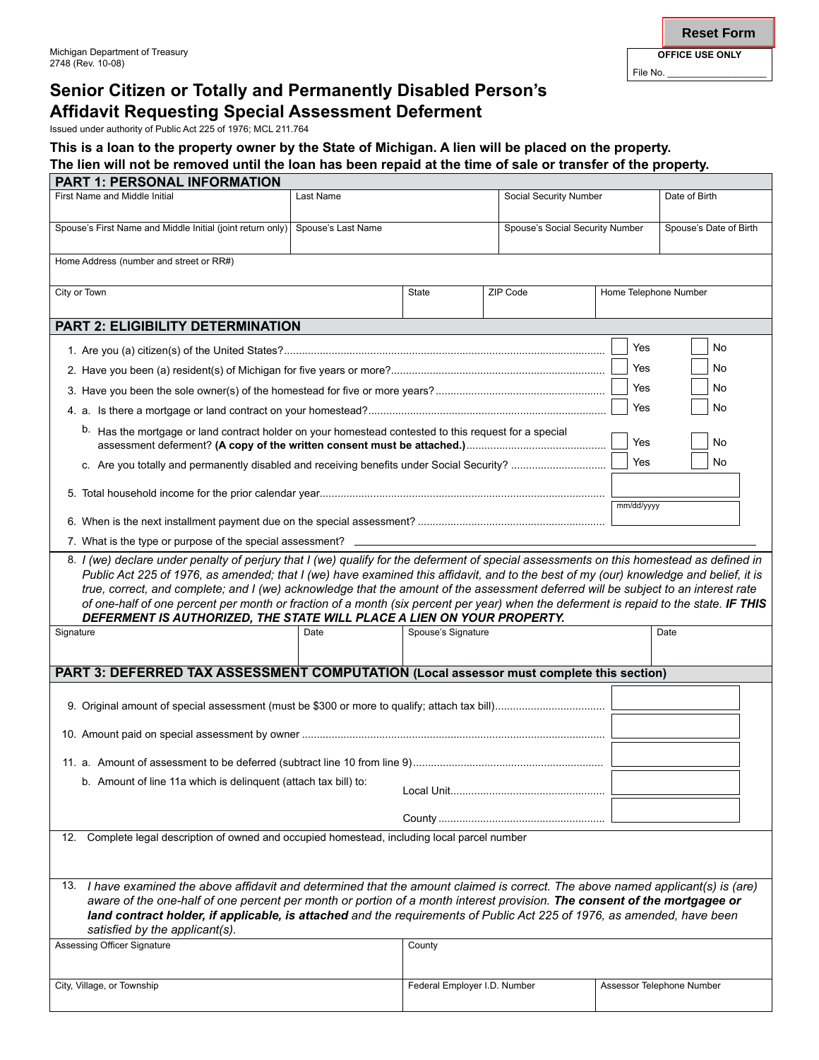# **Senior Citizen or Totally and Permanently Disabled Person's Affidavit Requesting Special Assessment Deferment**

Issued under authority of Public Act 225 of 1976; MCL 211.764

### **This is a loan to the property owner by the State of Michigan. A lien will be placed on the property. The lien will not be removed until the loan has been repaid at the time of sale or transfer of the property.**

| <b>PART 1: PERSONAL INFORMATION</b>                                                                                                                                                                                                                                                                                                                                                                                                                                                                                                                                                                                                       |           |                              |          |                                 |                           |  |
|-------------------------------------------------------------------------------------------------------------------------------------------------------------------------------------------------------------------------------------------------------------------------------------------------------------------------------------------------------------------------------------------------------------------------------------------------------------------------------------------------------------------------------------------------------------------------------------------------------------------------------------------|-----------|------------------------------|----------|---------------------------------|---------------------------|--|
| First Name and Middle Initial                                                                                                                                                                                                                                                                                                                                                                                                                                                                                                                                                                                                             | Last Name |                              |          | Social Security Number          |                           |  |
| Spouse's First Name and Middle Initial (joint return only) Spouse's Last Name                                                                                                                                                                                                                                                                                                                                                                                                                                                                                                                                                             |           |                              |          | Spouse's Social Security Number |                           |  |
| Home Address (number and street or RR#)                                                                                                                                                                                                                                                                                                                                                                                                                                                                                                                                                                                                   |           |                              |          |                                 |                           |  |
| City or Town                                                                                                                                                                                                                                                                                                                                                                                                                                                                                                                                                                                                                              |           | <b>State</b>                 | ZIP Code | Home Telephone Number           |                           |  |
| <b>PART 2: ELIGIBILITY DETERMINATION</b>                                                                                                                                                                                                                                                                                                                                                                                                                                                                                                                                                                                                  |           |                              |          |                                 |                           |  |
|                                                                                                                                                                                                                                                                                                                                                                                                                                                                                                                                                                                                                                           |           |                              |          | Yes                             | No                        |  |
|                                                                                                                                                                                                                                                                                                                                                                                                                                                                                                                                                                                                                                           |           |                              |          | Yes                             | No                        |  |
|                                                                                                                                                                                                                                                                                                                                                                                                                                                                                                                                                                                                                                           |           |                              |          | Yes                             | No                        |  |
|                                                                                                                                                                                                                                                                                                                                                                                                                                                                                                                                                                                                                                           |           |                              |          | Yes                             | No                        |  |
| b.<br>Has the mortgage or land contract holder on your homestead contested to this request for a special                                                                                                                                                                                                                                                                                                                                                                                                                                                                                                                                  |           |                              |          | Yes                             | No                        |  |
|                                                                                                                                                                                                                                                                                                                                                                                                                                                                                                                                                                                                                                           |           |                              |          | Yes                             | No                        |  |
|                                                                                                                                                                                                                                                                                                                                                                                                                                                                                                                                                                                                                                           |           |                              |          | mm/dd/yyyy                      |                           |  |
|                                                                                                                                                                                                                                                                                                                                                                                                                                                                                                                                                                                                                                           |           |                              |          |                                 |                           |  |
| 7. What is the type or purpose of the special assessment?                                                                                                                                                                                                                                                                                                                                                                                                                                                                                                                                                                                 |           |                              |          |                                 |                           |  |
| 8. I (we) declare under penalty of perjury that I (we) qualify for the deferment of special assessments on this homestead as defined in<br>Public Act 225 of 1976, as amended; that I (we) have examined this affidavit, and to the best of my (our) knowledge and belief, it is<br>true, correct, and complete; and I (we) acknowledge that the amount of the assessment deferred will be subject to an interest rate<br>of one-half of one percent per month or fraction of a month (six percent per year) when the deferment is repaid to the state. IF THIS<br>DEFERMENT IS AUTHORIZED, THE STATE WILL PLACE A LIEN ON YOUR PROPERTY. |           |                              |          |                                 |                           |  |
| Signature                                                                                                                                                                                                                                                                                                                                                                                                                                                                                                                                                                                                                                 | Date      | Spouse's Signature           |          | Date                            |                           |  |
| PART 3: DEFERRED TAX ASSESSMENT COMPUTATION (Local assessor must complete this section)                                                                                                                                                                                                                                                                                                                                                                                                                                                                                                                                                   |           |                              |          |                                 |                           |  |
|                                                                                                                                                                                                                                                                                                                                                                                                                                                                                                                                                                                                                                           |           |                              |          |                                 |                           |  |
|                                                                                                                                                                                                                                                                                                                                                                                                                                                                                                                                                                                                                                           |           |                              |          |                                 |                           |  |
|                                                                                                                                                                                                                                                                                                                                                                                                                                                                                                                                                                                                                                           |           |                              |          |                                 |                           |  |
| b. Amount of line 11a which is delinquent (attach tax bill) to:                                                                                                                                                                                                                                                                                                                                                                                                                                                                                                                                                                           |           |                              |          |                                 |                           |  |
|                                                                                                                                                                                                                                                                                                                                                                                                                                                                                                                                                                                                                                           |           |                              |          |                                 |                           |  |
| Complete legal description of owned and occupied homestead, including local parcel number<br>12.                                                                                                                                                                                                                                                                                                                                                                                                                                                                                                                                          |           |                              |          |                                 |                           |  |
|                                                                                                                                                                                                                                                                                                                                                                                                                                                                                                                                                                                                                                           |           |                              |          |                                 |                           |  |
| 13. I have examined the above affidavit and determined that the amount claimed is correct. The above named applicant(s) is (are)<br>aware of the one-half of one percent per month or portion of a month interest provision. The consent of the mortgagee or<br>land contract holder, if applicable, is attached and the requirements of Public Act 225 of 1976, as amended, have been<br>satisfied by the applicant(s).                                                                                                                                                                                                                  |           |                              |          |                                 |                           |  |
| Assessing Officer Signature                                                                                                                                                                                                                                                                                                                                                                                                                                                                                                                                                                                                               | County    |                              |          |                                 |                           |  |
| City, Village, or Township                                                                                                                                                                                                                                                                                                                                                                                                                                                                                                                                                                                                                |           | Federal Employer I.D. Number |          |                                 | Assessor Telephone Number |  |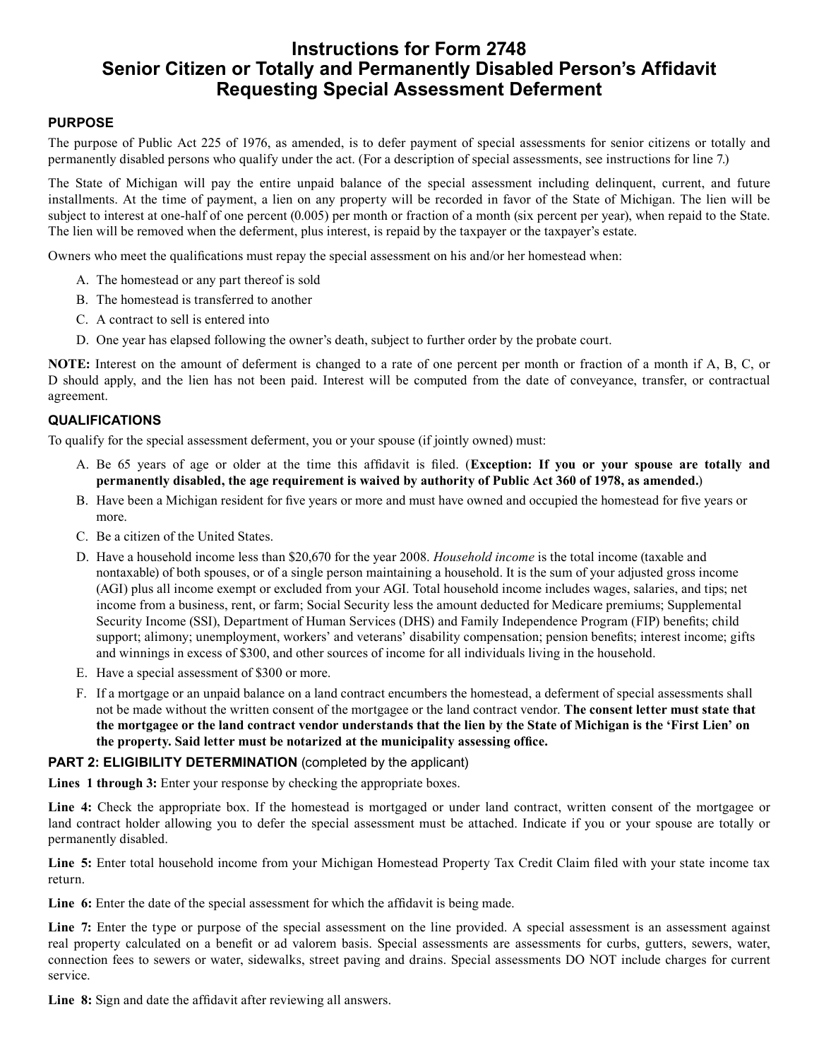## **Instructions for Form 2748 Senior Citizen or Totally and Permanently Disabled Person's Affidavit Requesting Special Assessment Deferment**

#### **PURPOSE**

The purpose of Public Act 225 of 1976, as amended, is to defer payment of special assessments for senior citizens or totally and permanently disabled persons who qualify under the act. (For a description of special assessments, see instructions for line 7.)

The State of Michigan will pay the entire unpaid balance of the special assessment including delinquent, current, and future installments. At the time of payment, a lien on any property will be recorded in favor of the State of Michigan. The lien will be subject to interest at one-half of one percent (0.005) per month or fraction of a month (six percent per year), when repaid to the State. The lien will be removed when the deferment, plus interest, is repaid by the taxpayer or the taxpayer's estate.

Owners who meet the qualifications must repay the special assessment on his and/or her homestead when:

- A. The homestead or any part thereof is sold
- B. The homestead is transferred to another
- C. A contract to sell is entered into
- D. One year has elapsed following the owner's death, subject to further order by the probate court.

**NOTE:** Interest on the amount of deferment is changed to a rate of one percent per month or fraction of a month if A, B, C, or D should apply, and the lien has not been paid. Interest will be computed from the date of conveyance, transfer, or contractual agreement.

#### **QUALIFICATIONS**

To qualify for the special assessment deferment, you or your spouse (if jointly owned) must:

- Be 65 years of age or older at the time this affidavit is filed. (**Exception: If you or your spouse are totally and**  A. **permanently disabled, the age requirement is waived by authority of Public Act 360 of 1978, as amended.**)
- B. Have been a Michigan resident for five years or more and must have owned and occupied the homestead for five years or more.
- C. Be a citizen of the United States.
- D. Have a household income less than \$20,670 for the year 2008. *Household income* is the total income (taxable and nontaxable) of both spouses, or of a single person maintaining a household. It is the sum of your adjusted gross income (AGI) plus all income exempt or excluded from your AGI. Total household income includes wages, salaries, and tips; net income from a business, rent, or farm; Social Security less the amount deducted for Medicare premiums; Supplemental Security Income (SSI), Department of Human Services (DHS) and Family Independence Program (FIP) benefits; child support; alimony; unemployment, workers' and veterans' disability compensation; pension benefits; interest income; gifts and winnings in excess of \$300, and other sources of income for all individuals living in the household.
- E. Have a special assessment of \$300 or more.
- F. If a mortgage or an unpaid balance on a land contract encumbers the homestead, a deferment of special assessments shall not be made without the written consent of the mortgagee or the land contract vendor. **The consent letter must state that the mortgagee or the land contract vendor understands that the lien by the State of Michigan is the 'First Lien' on the property. Said letter must be notarized at the municipality assessing office.**

#### **PART 2: ELIGIBILITY DETERMINATION** (completed by the applicant)

**Lines 1 through 3:** Enter your response by checking the appropriate boxes.

Line 4: Check the appropriate box. If the homestead is mortgaged or under land contract, written consent of the mortgagee or land contract holder allowing you to defer the special assessment must be attached. Indicate if you or your spouse are totally or permanently disabled.

**Line 5:** Enter total household income from your Michigan Homestead Property Tax Credit Claim filed with your state income tax return.

Line **6:** Enter the date of the special assessment for which the affidavit is being made.

**Line 7:** Enter the type or purpose of the special assessment on the line provided. A special assessment is an assessment against real property calculated on a benefit or ad valorem basis. Special assessments are assessments for curbs, gutters, sewers, water, connection fees to sewers or water, sidewalks, street paving and drains. Special assessments DO NOT include charges for current service.

**Line 8:** Sign and date the affidavit after reviewing all answers.